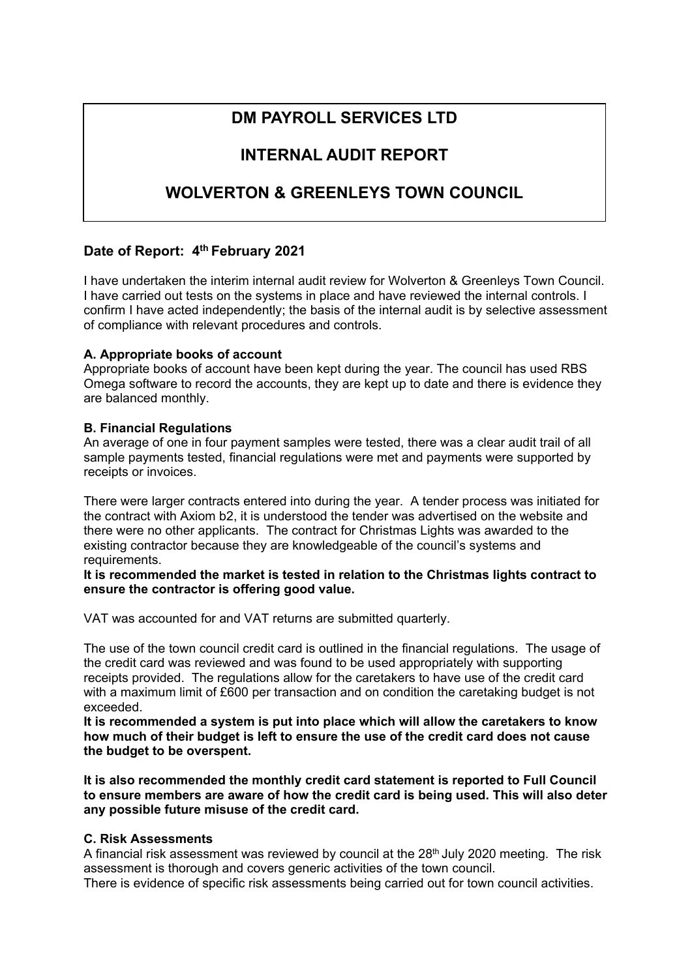# **DM PAYROLL SERVICES LTD**

# **INTERNAL AUDIT REPORT**

# **WOLVERTON & GREENLEYS TOWN COUNCIL**

# **Date of Report: 4th February 2021**

I have undertaken the interim internal audit review for Wolverton & Greenleys Town Council. I have carried out tests on the systems in place and have reviewed the internal controls. I confirm I have acted independently; the basis of the internal audit is by selective assessment of compliance with relevant procedures and controls.

# **A. Appropriate books of account**

Appropriate books of account have been kept during the year. The council has used RBS Omega software to record the accounts, they are kept up to date and there is evidence they are balanced monthly.

### **B. Financial Regulations**

An average of one in four payment samples were tested, there was a clear audit trail of all sample payments tested, financial regulations were met and payments were supported by receipts or invoices.

There were larger contracts entered into during the year. A tender process was initiated for the contract with Axiom b2, it is understood the tender was advertised on the website and there were no other applicants. The contract for Christmas Lights was awarded to the existing contractor because they are knowledgeable of the council's systems and requirements.

**It is recommended the market is tested in relation to the Christmas lights contract to ensure the contractor is offering good value.** 

VAT was accounted for and VAT returns are submitted quarterly.

The use of the town council credit card is outlined in the financial regulations. The usage of the credit card was reviewed and was found to be used appropriately with supporting receipts provided. The regulations allow for the caretakers to have use of the credit card with a maximum limit of £600 per transaction and on condition the caretaking budget is not exceeded.

**It is recommended a system is put into place which will allow the caretakers to know how much of their budget is left to ensure the use of the credit card does not cause the budget to be overspent.** 

**It is also recommended the monthly credit card statement is reported to Full Council to ensure members are aware of how the credit card is being used. This will also deter any possible future misuse of the credit card.** 

### **C. Risk Assessments**

A financial risk assessment was reviewed by council at the 28<sup>th</sup> July 2020 meeting. The risk assessment is thorough and covers generic activities of the town council.

There is evidence of specific risk assessments being carried out for town council activities.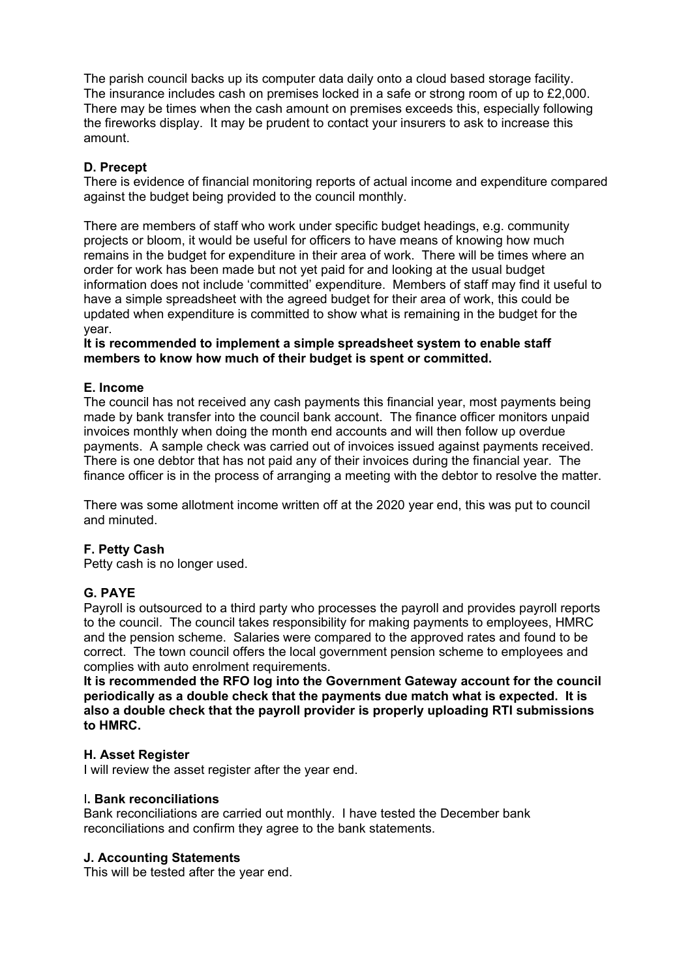The parish council backs up its computer data daily onto a cloud based storage facility. The insurance includes cash on premises locked in a safe or strong room of up to £2,000. There may be times when the cash amount on premises exceeds this, especially following the fireworks display. It may be prudent to contact your insurers to ask to increase this amount.

# **D. Precept**

There is evidence of financial monitoring reports of actual income and expenditure compared against the budget being provided to the council monthly.

There are members of staff who work under specific budget headings, e.g. community projects or bloom, it would be useful for officers to have means of knowing how much remains in the budget for expenditure in their area of work. There will be times where an order for work has been made but not yet paid for and looking at the usual budget information does not include 'committed' expenditure. Members of staff may find it useful to have a simple spreadsheet with the agreed budget for their area of work, this could be updated when expenditure is committed to show what is remaining in the budget for the year.

**It is recommended to implement a simple spreadsheet system to enable staff members to know how much of their budget is spent or committed.** 

#### **E. Income**

The council has not received any cash payments this financial year, most payments being made by bank transfer into the council bank account. The finance officer monitors unpaid invoices monthly when doing the month end accounts and will then follow up overdue payments. A sample check was carried out of invoices issued against payments received. There is one debtor that has not paid any of their invoices during the financial year. The finance officer is in the process of arranging a meeting with the debtor to resolve the matter.

There was some allotment income written off at the 2020 year end, this was put to council and minuted.

#### **F. Petty Cash**

Petty cash is no longer used.

#### **G. PAYE**

Payroll is outsourced to a third party who processes the payroll and provides payroll reports to the council. The council takes responsibility for making payments to employees, HMRC and the pension scheme. Salaries were compared to the approved rates and found to be correct. The town council offers the local government pension scheme to employees and complies with auto enrolment requirements.

**It is recommended the RFO log into the Government Gateway account for the council periodically as a double check that the payments due match what is expected. It is also a double check that the payroll provider is properly uploading RTI submissions to HMRC.** 

#### **H. Asset Register**

I will review the asset register after the year end.

#### I**. Bank reconciliations**

Bank reconciliations are carried out monthly. I have tested the December bank reconciliations and confirm they agree to the bank statements.

#### **J. Accounting Statements**

This will be tested after the year end.